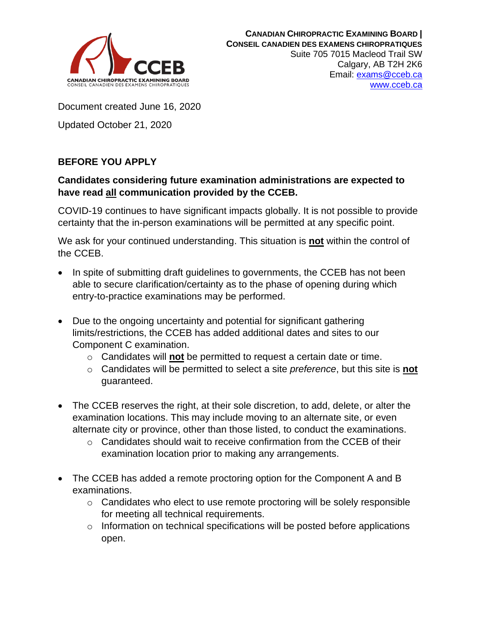

Document created June 16, 2020

Updated October 21, 2020

## **BEFORE YOU APPLY**

## **Candidates considering future examination administrations are expected to have read all communication provided by the CCEB.**

COVID-19 continues to have significant impacts globally. It is not possible to provide certainty that the in-person examinations will be permitted at any specific point.

We ask for your continued understanding. This situation is **not** within the control of the CCEB.

- In spite of submitting draft guidelines to governments, the CCEB has not been able to secure clarification/certainty as to the phase of opening during which entry-to-practice examinations may be performed.
- Due to the ongoing uncertainty and potential for significant gathering limits/restrictions, the CCEB has added additional dates and sites to our Component C examination.
	- o Candidates will **not** be permitted to request a certain date or time.
	- o Candidates will be permitted to select a site *preference*, but this site is **not** guaranteed.
- The CCEB reserves the right, at their sole discretion, to add, delete, or alter the examination locations. This may include moving to an alternate site, or even alternate city or province, other than those listed, to conduct the examinations.
	- $\circ$  Candidates should wait to receive confirmation from the CCEB of their examination location prior to making any arrangements.
- The CCEB has added a remote proctoring option for the Component A and B examinations.
	- $\circ$  Candidates who elect to use remote proctoring will be solely responsible for meeting all technical requirements.
	- o Information on technical specifications will be posted before applications open.